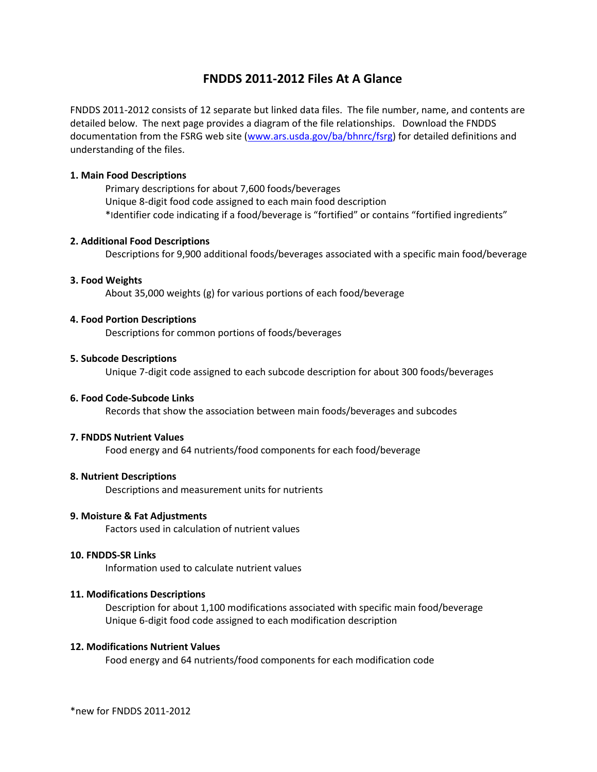# **FNDDS 2011-2012 Files At A Glance**

FNDDS 2011-2012 consists of 12 separate but linked data files. The file number, name, and contents are detailed below. The next page provides a diagram of the file relationships. Download the FNDDS documentation from the FSRG web site [\(www.ars.usda.gov/ba/bhnrc/fsrg\)](http://www.ars.usda.gov/ba/bhnrc/fsrg) for detailed definitions and understanding of the files.

## **1. Main Food Descriptions**

Primary descriptions for about 7,600 foods/beverages Unique 8-digit food code assigned to each main food description \*Identifier code indicating if a food/beverage is "fortified" or contains "fortified ingredients"

# **2. Additional Food Descriptions**

Descriptions for 9,900 additional foods/beverages associated with a specific main food/beverage

## **3. Food Weights**

About 35,000 weights (g) for various portions of each food/beverage

## **4. Food Portion Descriptions**

Descriptions for common portions of foods/beverages

## **5. Subcode Descriptions**

Unique 7-digit code assigned to each subcode description for about 300 foods/beverages

## **6. Food Code-Subcode Links**

Records that show the association between main foods/beverages and subcodes

#### **7. FNDDS Nutrient Values**

Food energy and 64 nutrients/food components for each food/beverage

#### **8. Nutrient Descriptions**

Descriptions and measurement units for nutrients

# **9. Moisture & Fat Adjustments**

Factors used in calculation of nutrient values

#### **10. FNDDS-SR Links**

Information used to calculate nutrient values

# **11. Modifications Descriptions**

Description for about 1,100 modifications associated with specific main food/beverage Unique 6-digit food code assigned to each modification description

#### **12. Modifications Nutrient Values**

Food energy and 64 nutrients/food components for each modification code